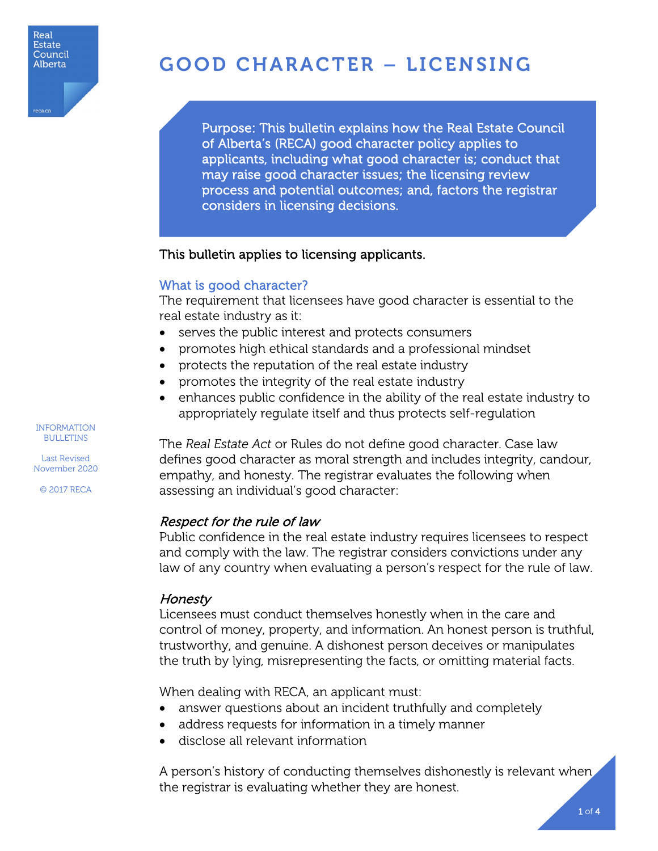

reca.c

# GOOD CHARACTER – LICENSING

Purpose: This bulletin explains how the Real Estate Council of Alberta's (RECA) good character policy applies to applicants, including what good character is; conduct that may raise good character issues; the licensing review process and potential outcomes; and, factors the registrar considers in licensing decisions.

## This bulletin applies to licensing applicants.

## What is good character?

I

The requirement that licensees have good character is essential to the real estate industry as it:

- serves the public interest and protects consumers
- promotes high ethical standards and a professional mindset
- protects the reputation of the real estate industry
- promotes the integrity of the real estate industry
- enhances public confidence in the ability of the real estate industry to appropriately regulate itself and thus protects self-regulation

The *Real Estate Act* or Rules do not define good character. Case law defines good character as moral strength and includes integrity, candour, empathy, and honesty. The registrar evaluates the following when assessing an individual's good character:

## Respect for the rule of law

Public confidence in the real estate industry requires licensees to respect and comply with the law. The registrar considers convictions under any law of any country when evaluating a person's respect for the rule of law.

# **Honesty**

Licensees must conduct themselves honestly when in the care and control of money, property, and information. An honest person is truthful, trustworthy, and genuine. A dishonest person deceives or manipulates the truth by lying, misrepresenting the facts, or omitting material facts.

When dealing with RECA, an applicant must:

- answer questions about an incident truthfully and completely
- address requests for information in a timely manner
- disclose all relevant information

A person's history of conducting themselves dishonestly is relevant when the registrar is evaluating whether they are honest.

INFORMATION BULLETINS

Last Revised

November 2020 © 2017 RECA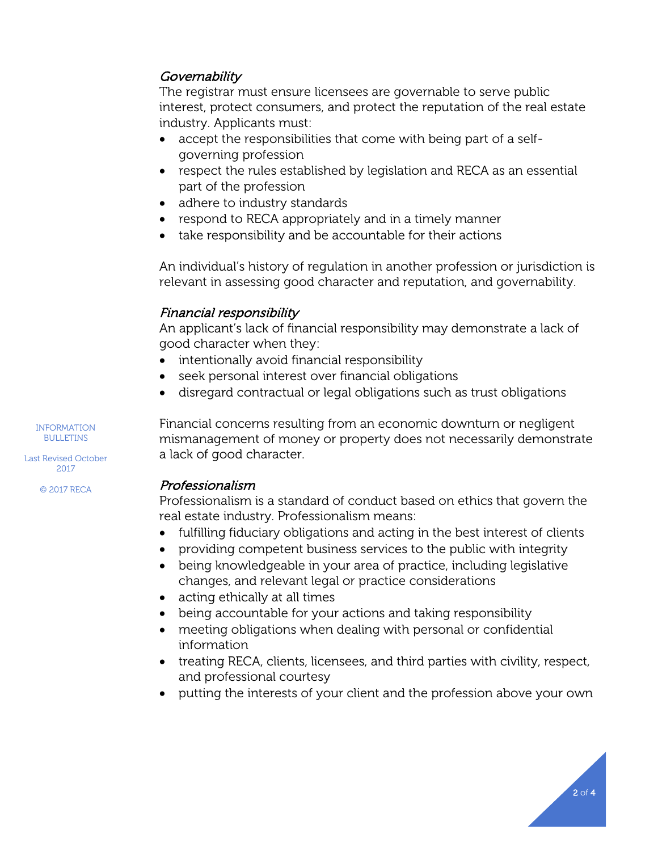# **Governability**

The registrar must ensure licensees are governable to serve public interest, protect consumers, and protect the reputation of the real estate industry. Applicants must:

- accept the responsibilities that come with being part of a selfgoverning profession
- respect the rules established by legislation and RECA as an essential part of the profession
- adhere to industry standards
- respond to RECA appropriately and in a timely manner
- take responsibility and be accountable for their actions

An individual's history of regulation in another profession or jurisdiction is relevant in assessing good character and reputation, and governability.

# Financial responsibility

An applicant's lack of financial responsibility may demonstrate a lack of good character when they:

- intentionally avoid financial responsibility
- seek personal interest over financial obligations
- disregard contractual or legal obligations such as trust obligations

Financial concerns resulting from an economic downturn or negligent mismanagement of money or property does not necessarily demonstrate a lack of good character.

## Professionalism

Professionalism is a standard of conduct based on ethics that govern the real estate industry. Professionalism means:

- fulfilling fiduciary obligations and acting in the best interest of clients
- providing competent business services to the public with integrity
- being knowledgeable in your area of practice, including legislative changes, and relevant legal or practice considerations
- acting ethically at all times
- being accountable for your actions and taking responsibility
- meeting obligations when dealing with personal or confidential information
- treating RECA, clients, licensees, and third parties with civility, respect, and professional courtesy
- putting the interests of your client and the profession above your own

INFORMATION BULLETINS

Last Revised October 2017

© 2017 RECA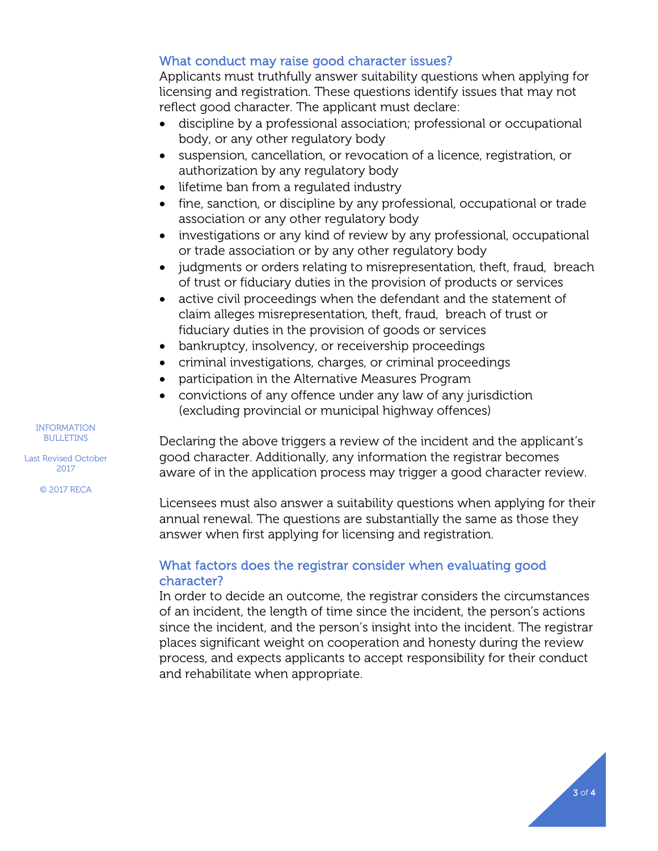# What conduct may raise good character issues?

Applicants must truthfully answer suitability questions when applying for licensing and registration. These questions identify issues that may not reflect good character. The applicant must declare:

- discipline by a professional association; professional or occupational body, or any other regulatory body
- suspension, cancellation, or revocation of a licence, registration, or authorization by any regulatory body
- lifetime ban from a regulated industry
- fine, sanction, or discipline by any professional, occupational or trade association or any other regulatory body
- investigations or any kind of review by any professional, occupational or trade association or by any other regulatory body
- judgments or orders relating to misrepresentation, theft, fraud, breach of trust or fiduciary duties in the provision of products or services
- active civil proceedings when the defendant and the statement of claim alleges misrepresentation, theft, fraud, breach of trust or fiduciary duties in the provision of goods or services
- bankruptcy, insolvency, or receivership proceedings
- criminal investigations, charges, or criminal proceedings
- participation in the Alternative Measures Program
- convictions of any offence under any law of any jurisdiction (excluding provincial or municipal highway offences)

Declaring the above triggers a review of the incident and the applicant's good character. Additionally, any information the registrar becomes aware of in the application process may trigger a good character review.

Licensees must also answer a suitability questions when applying for their annual renewal. The questions are substantially the same as those they answer when first applying for licensing and registration.

# What factors does the registrar consider when evaluating good character?

In order to decide an outcome, the registrar considers the circumstances of an incident, the length of time since the incident, the person's actions since the incident, and the person's insight into the incident. The registrar places significant weight on cooperation and honesty during the review process, and expects applicants to accept responsibility for their conduct and rehabilitate when appropriate.

INFORMATION BULLETINS

Last Revised October 2017

© 2017 RECA